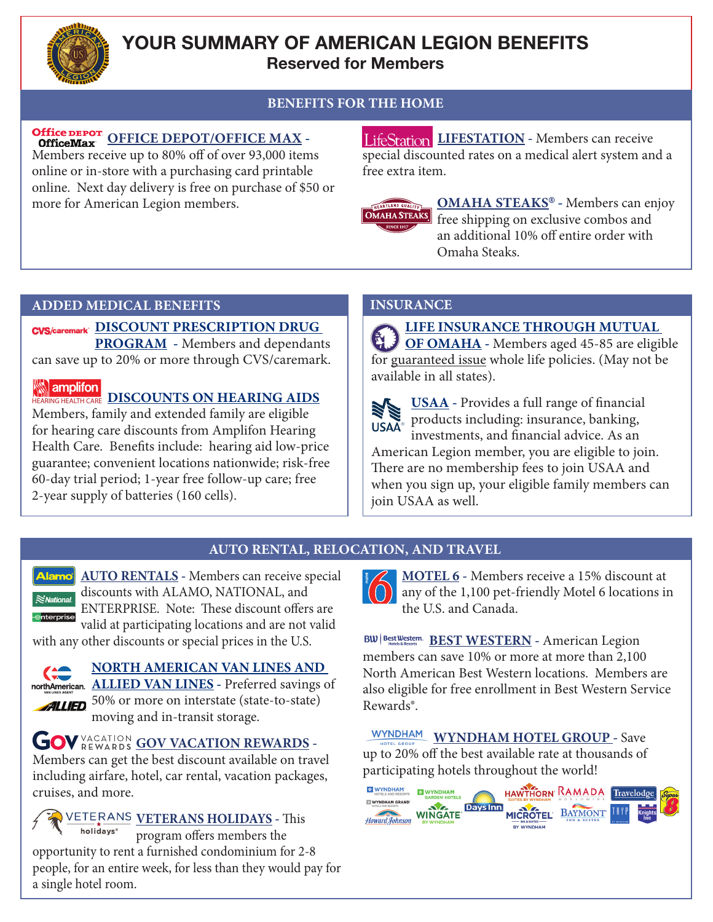

## **YOUR SUMMARY OF AMERICAN LEGION BENEFITS Reserved for Members**

## **BENEFITS FOR THE HOME**

# Office DEPOT<br>
Office Max OFFICE DEPOT/OFFICE MAX -

Members receive up to 80% off of over 93,000 items online or in-store with a purchasing card printable online. Next day delivery is free on purchase of \$50 or more for American Legion members.

**LifeStation LIFESTATION** - Members can receive special discounted rates on a medical alert system and a free extra item.



**OMAHA STEAKS**® **-** Members can enjoy free shipping on exclusive combos and an additional 10% off entire order with Omaha Steaks.

#### **ADDED MEDICAL BENEFITS INSURANCE**

### **DISCOUNT PRESCRIPTION DRUG**

**PROGRAM -** Members and dependants can save up to 20% or more through CVS/caremark.

#### **NEXT REALTH CARE DISCOUNTS ON HEARING AIDS**

Members, family and extended family are eligible for hearing care discounts from Amplifon Hearing Health Care. Benefits include: hearing aid low-price guarantee; convenient locations nationwide; risk-free 60-day trial period; 1-year free follow-up care; free 2-year supply of batteries (160 cells).

**LIFE INSURANCE THROUGH MUTUAL OF OMAHA** - Members aged 45-85 are eligible for guaranteed issue whole life policies. (May not be | available in all states).



USAA - Provides a full range of financial products including: insurance, banking, investments, and financial advice. As an American Legion member, you are eligible to join.

There are no membership fees to join USAA and when you sign up, your eligible family members can join USAA as well.

#### **AUTO RENTAL, RELOCATION, AND TRAVEL**

**Alamo AUTO RENTALS** - Members can receive special discounts with ALAMO, NATIONAL, and  $\approx$  National. ENTERPRISE. Note: These discount offers are valid at participating locations and are not valid

with any other discounts or special prices in the U.S.



### **NORTH AMERICAN VAN LINES AND**

**ALLIED VAN LINES -** Preferred savings of **ALLIED** 50% or more on interstate (state-to-state) moving and in-transit storage.

**GOV VACATION GOV VACATION REWARDS -**

Members can get the best discount available on travel including airfare, hotel, car rental, vacation packages, cruises, and more.

**VETERANS HOLIDAYS -** This holidays<sup>®</sup> program offers members the opportunity to rent a furnished condominium for 2-8 people, for an entire week, for less than they would pay for a single hotel room.



**MOTEL 6 -** Members receive a 15% discount at any of the 1,100 pet-friendly Motel 6 locations in the U.S. and Canada.

**BEST WESTERN -** American Legion members can save 10% or more at more than 2,100 North American Best Western locations. Members are also eligible for free enrollment in Best Western Service Rewards®.

**WYNDHAM WYNDHAM HOTEL GROUP - Save** up to 20% off the best available rate at thousands of participating hotels throughout the world!